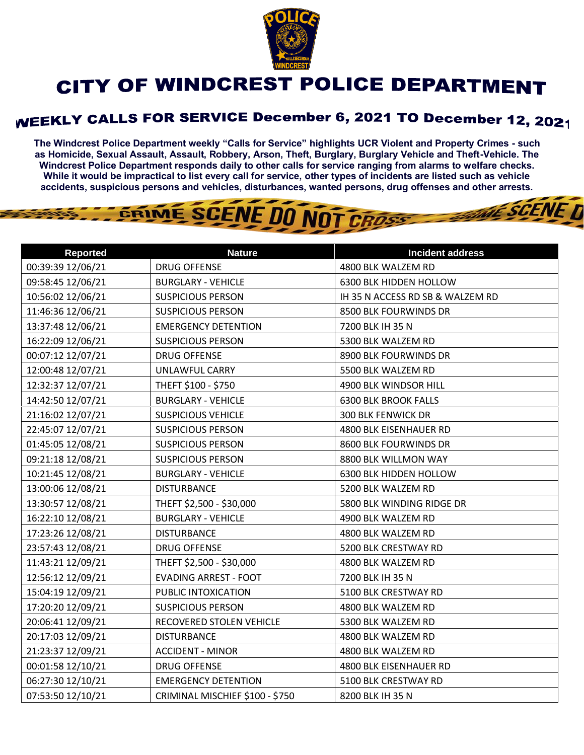

## CITY OF WINDCREST POLICE DEPARTMENT

## WEEKLY CALLS FOR SERVICE December 6, 2021 TO December 12, 2021

**The Windcrest Police Department weekly "Calls for Service" highlights UCR Violent and Property Crimes - such as Homicide, Sexual Assault, Assault, Robbery, Arson, Theft, Burglary, Burglary Vehicle and Theft-Vehicle. The Windcrest Police Department responds daily to other calls for service ranging from alarms to welfare checks. While it would be impractical to list every call for service, other types of incidents are listed such as vehicle accidents, suspicious persons and vehicles, disturbances, wanted persons, drug offenses and other arrests.** 

THE SCENE D

## GRIME SCENE DO NOT CROSS

| <b>Reported</b>   | <b>Nature</b>                   | <b>Incident address</b>          |
|-------------------|---------------------------------|----------------------------------|
| 00:39:39 12/06/21 | <b>DRUG OFFENSE</b>             | 4800 BLK WALZEM RD               |
| 09:58:45 12/06/21 | <b>BURGLARY - VEHICLE</b>       | 6300 BLK HIDDEN HOLLOW           |
| 10:56:02 12/06/21 | <b>SUSPICIOUS PERSON</b>        | IH 35 N ACCESS RD SB & WALZEM RD |
| 11:46:36 12/06/21 | <b>SUSPICIOUS PERSON</b>        | 8500 BLK FOURWINDS DR            |
| 13:37:48 12/06/21 | <b>EMERGENCY DETENTION</b>      | 7200 BLK IH 35 N                 |
| 16:22:09 12/06/21 | <b>SUSPICIOUS PERSON</b>        | 5300 BLK WALZEM RD               |
| 00:07:12 12/07/21 | <b>DRUG OFFENSE</b>             | 8900 BLK FOURWINDS DR            |
| 12:00:48 12/07/21 | UNLAWFUL CARRY                  | 5500 BLK WALZEM RD               |
| 12:32:37 12/07/21 | THEFT \$100 - \$750             | 4900 BLK WINDSOR HILL            |
| 14:42:50 12/07/21 | <b>BURGLARY - VEHICLE</b>       | <b>6300 BLK BROOK FALLS</b>      |
| 21:16:02 12/07/21 | <b>SUSPICIOUS VEHICLE</b>       | <b>300 BLK FENWICK DR</b>        |
| 22:45:07 12/07/21 | <b>SUSPICIOUS PERSON</b>        | 4800 BLK EISENHAUER RD           |
| 01:45:05 12/08/21 | <b>SUSPICIOUS PERSON</b>        | 8600 BLK FOURWINDS DR            |
| 09:21:18 12/08/21 | <b>SUSPICIOUS PERSON</b>        | 8800 BLK WILLMON WAY             |
| 10:21:45 12/08/21 | <b>BURGLARY - VEHICLE</b>       | 6300 BLK HIDDEN HOLLOW           |
| 13:00:06 12/08/21 | <b>DISTURBANCE</b>              | 5200 BLK WALZEM RD               |
| 13:30:57 12/08/21 | THEFT \$2,500 - \$30,000        | 5800 BLK WINDING RIDGE DR        |
| 16:22:10 12/08/21 | <b>BURGLARY - VEHICLE</b>       | 4900 BLK WALZEM RD               |
| 17:23:26 12/08/21 | <b>DISTURBANCE</b>              | 4800 BLK WALZEM RD               |
| 23:57:43 12/08/21 | <b>DRUG OFFENSE</b>             | 5200 BLK CRESTWAY RD             |
| 11:43:21 12/09/21 | THEFT \$2,500 - \$30,000        | 4800 BLK WALZEM RD               |
| 12:56:12 12/09/21 | <b>EVADING ARREST - FOOT</b>    | 7200 BLK IH 35 N                 |
| 15:04:19 12/09/21 | PUBLIC INTOXICATION             | 5100 BLK CRESTWAY RD             |
| 17:20:20 12/09/21 | <b>SUSPICIOUS PERSON</b>        | 4800 BLK WALZEM RD               |
| 20:06:41 12/09/21 | RECOVERED STOLEN VEHICLE        | 5300 BLK WALZEM RD               |
| 20:17:03 12/09/21 | <b>DISTURBANCE</b>              | 4800 BLK WALZEM RD               |
| 21:23:37 12/09/21 | <b>ACCIDENT - MINOR</b>         | 4800 BLK WALZEM RD               |
| 00:01:58 12/10/21 | <b>DRUG OFFENSE</b>             | 4800 BLK EISENHAUER RD           |
| 06:27:30 12/10/21 | <b>EMERGENCY DETENTION</b>      | 5100 BLK CRESTWAY RD             |
| 07:53:50 12/10/21 | CRIMINAL MISCHIEF \$100 - \$750 | 8200 BLK IH 35 N                 |